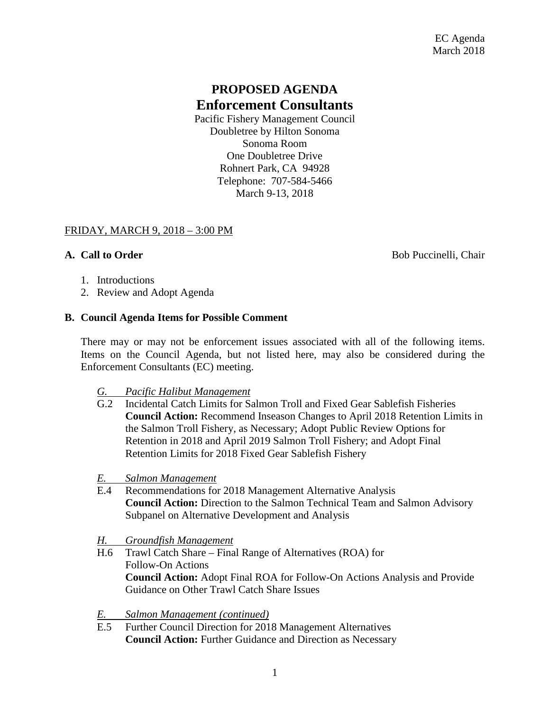# **PROPOSED AGENDA Enforcement Consultants**

Pacific Fishery Management Council Doubletree by Hilton Sonoma Sonoma Room One Doubletree Drive Rohnert Park, CA 94928 Telephone: 707-584-5466 March 9-13, 2018

### FRIDAY, MARCH 9, 2018 – 3:00 PM

**A. Call to Order** Bob Puccinelli, Chair

- 1. Introductions
- 2. Review and Adopt Agenda

## **B. Council Agenda Items for Possible Comment**

There may or may not be enforcement issues associated with all of the following items. Items on the Council Agenda, but not listed here, may also be considered during the Enforcement Consultants (EC) meeting.

### *G. Pacific Halibut Management*

- G.2 Incidental Catch Limits for Salmon Troll and Fixed Gear Sablefish Fisheries **Council Action:** Recommend Inseason Changes to April 2018 Retention Limits in the Salmon Troll Fishery, as Necessary; Adopt Public Review Options for Retention in 2018 and April 2019 Salmon Troll Fishery; and Adopt Final Retention Limits for 2018 Fixed Gear Sablefish Fishery
- *E. Salmon Management*
- E.4 Recommendations for 2018 Management Alternative Analysis **Council Action:** Direction to the Salmon Technical Team and Salmon Advisory Subpanel on Alternative Development and Analysis
- *H. Groundfish Management*
- H.6 Trawl Catch Share Final Range of Alternatives (ROA) for Follow-On Actions **Council Action:** Adopt Final ROA for Follow-On Actions Analysis and Provide Guidance on Other Trawl Catch Share Issues
- *E. Salmon Management (continued)*
- E.5 Further Council Direction for 2018 Management Alternatives **Council Action:** Further Guidance and Direction as Necessary